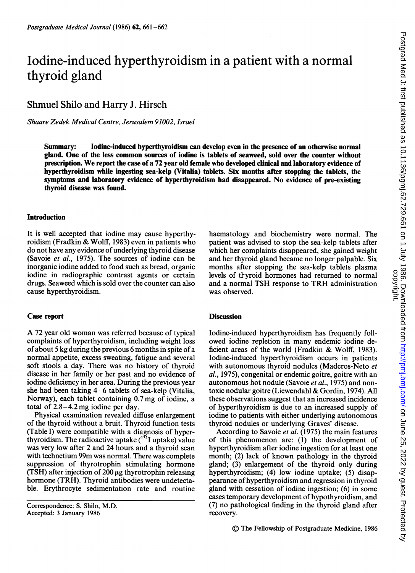# Iodine-induced hyperthyroidism in a patient with a normal thyroid gland

Shmuel Shilo and Harry J. Hirsch

Shaare Zedek Medical Centre, Jerusalem 91002, Israel

Summary: Iodine-induced hyperthyroidism can develop even in the presence of an otherwise normal gland. One of the less common sources of iodine is tablets of seaweed, sold over the counter without prescription. We report the case of <sup>a</sup> <sup>72</sup> year old female who developed clinical and laboratory evidence of hyperthyroidism while ingesting sea-kelp (Vitalia) tablets. Six months after stopping the tablets, the symptoms and laboratory evidence of hyperthyroidism had disappeared. No evidence of pre-existing thyroid disease was found.

## Introduction

It is well accepted that iodine may cause hyperthyroidism (Fradkin & Wolff, 1983) even in patients who do not have any evidence of underlying thyroid disease (Savoie et al., 1975). The sources of iodine can be inorganic iodine added to food such as bread, organic iodine in radiographic contrast agents or certain drugs. Seaweed which is sold over the counter can also cause hyperthyroidism.

#### Case report

A <sup>72</sup> year old woman was referred because of typical complaints of hyperthyroidism, including weight loss ofabout 5 kg during the previous 6 months in spite of a normal appetite, excess sweating, fatigue and several soft stools a day. There was no history of thyroid disease in her family or her past and no evidence of iodine deficiency in her area. During the previous year she had been taking 4-6 tablets of sea-kelp (Vitalia, Norway), each tablet containing 0.7mg of iodine, a total of 2.8-4.2 mg iodine per day.

Physical examination revealed diffuse enlargement of the thyroid without a bruit. Thyroid function tests (Table I) were compatible with a diagnosis of hyperthyroidism. The radioactive uptake  $(131)$  uptake) value was very low after 2 and 24 hours and a thyroid scan with technetium 99m was normal. There was complete suppression of thyrotrophin stimulating hormone (TSH) after injection of  $200 \mu$ g thyrotrophin releasing hormone (TRH). Thyroid antibodies were undetectable. Erythrocyte sedimentation rate and routine haematology and biochemistry were normal. The patient was advised to stop the sea-kelp tablets after which her complaints disappeared, she gained weight and her thyroid gland became no longer palpable. Six months after stopping the sea-kelp tablets plasma levels of thyroid hormones had returned to normal and <sup>a</sup> normal TSH response to TRH administration was observed.

### **Discussion**

Iodine-induced hyperthyroidism has frequently followed iodine repletion in many endemic iodine deficient areas of the world (Fradkin & Wolff, 1983). Iodine-induced hyperthyroidism occurs in patients with autonomous thyroid nodules (Maderos-Neto et al., 1975), congenital or endemic goitre, goitre with an autonomous hot nodule (Savoie et al., 1975) and nontoxic nodular goitre (Liewendahl & Gordin, 1974). All these observations suggest that an increased incidence of hyperthyroidism is due to an increased supply of iodine to patients with either underlying autonomous thyroid nodules or underlying Graves' disease.

According to Savoie et al. (1975) the main features of this phenomenon are: (1) the development of hyperthyroidism after iodine ingestion for at least one month; (2) lack of known pathology in the thyroid gland; (3) enlargement of the thyroid only during hyperthyroidism; (4) low iodine uptake; (5) disappearance of hyperthyroidism and regression in thyroid gland with cessation of iodine ingestion; (6) in some cases temporary development of hypothyroidism, and (7) no pathological finding in the thyroid gland after recovery.

Correspondence: S. Shilo, M.D. Accepted: 3 January 1986